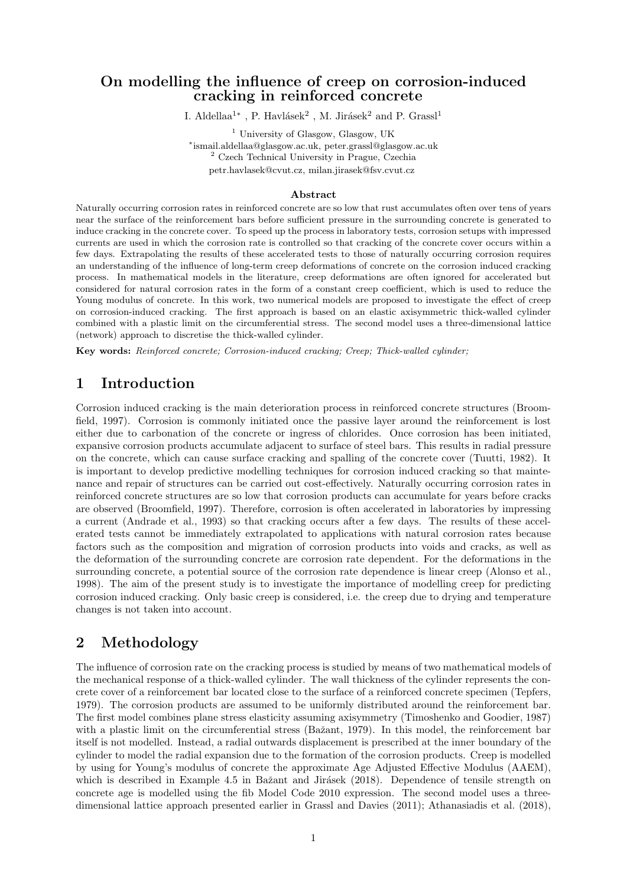# On modelling the influence of creep on corrosion-induced cracking in reinforced concrete

I. Aldellaa<sup>1</sup>\*, P. Havlásek<sup>2</sup>, M. Jirásek<sup>2</sup> and P. Grassl<sup>1</sup>

<sup>1</sup> University of Glasgow, Glasgow, UK ∗ ismail.aldellaa@glasgow.ac.uk, peter.grassl@glasgow.ac.uk <sup>2</sup> Czech Technical University in Prague, Czechia petr.havlasek@cvut.cz, milan.jirasek@fsv.cvut.cz

#### Abstract

Naturally occurring corrosion rates in reinforced concrete are so low that rust accumulates often over tens of years near the surface of the reinforcement bars before sufficient pressure in the surrounding concrete is generated to induce cracking in the concrete cover. To speed up the process in laboratory tests, corrosion setups with impressed currents are used in which the corrosion rate is controlled so that cracking of the concrete cover occurs within a few days. Extrapolating the results of these accelerated tests to those of naturally occurring corrosion requires an understanding of the influence of long-term creep deformations of concrete on the corrosion induced cracking process. In mathematical models in the literature, creep deformations are often ignored for accelerated but considered for natural corrosion rates in the form of a constant creep coefficient, which is used to reduce the Young modulus of concrete. In this work, two numerical models are proposed to investigate the effect of creep on corrosion-induced cracking. The first approach is based on an elastic axisymmetric thick-walled cylinder combined with a plastic limit on the circumferential stress. The second model uses a three-dimensional lattice (network) approach to discretise the thick-walled cylinder.

Key words: Reinforced concrete; Corrosion-induced cracking; Creep; Thick-walled cylinder;

### 1 Introduction

Corrosion induced cracking is the main deterioration process in reinforced concrete structures (Broomfield, 1997). Corrosion is commonly initiated once the passive layer around the reinforcement is lost either due to carbonation of the concrete or ingress of chlorides. Once corrosion has been initiated, expansive corrosion products accumulate adjacent to surface of steel bars. This results in radial pressure on the concrete, which can cause surface cracking and spalling of the concrete cover (Tuutti, 1982). It is important to develop predictive modelling techniques for corrosion induced cracking so that maintenance and repair of structures can be carried out cost-effectively. Naturally occurring corrosion rates in reinforced concrete structures are so low that corrosion products can accumulate for years before cracks are observed (Broomfield, 1997). Therefore, corrosion is often accelerated in laboratories by impressing a current (Andrade et al., 1993) so that cracking occurs after a few days. The results of these accelerated tests cannot be immediately extrapolated to applications with natural corrosion rates because factors such as the composition and migration of corrosion products into voids and cracks, as well as the deformation of the surrounding concrete are corrosion rate dependent. For the deformations in the surrounding concrete, a potential source of the corrosion rate dependence is linear creep (Alonso et al., 1998). The aim of the present study is to investigate the importance of modelling creep for predicting corrosion induced cracking. Only basic creep is considered, i.e. the creep due to drying and temperature changes is not taken into account.

# 2 Methodology

The influence of corrosion rate on the cracking process is studied by means of two mathematical models of the mechanical response of a thick-walled cylinder. The wall thickness of the cylinder represents the concrete cover of a reinforcement bar located close to the surface of a reinforced concrete specimen (Tepfers, 1979). The corrosion products are assumed to be uniformly distributed around the reinforcement bar. The first model combines plane stress elasticity assuming axisymmetry (Timoshenko and Goodier, 1987) with a plastic limit on the circumferential stress (Bažant, 1979). In this model, the reinforcement bar itself is not modelled. Instead, a radial outwards displacement is prescribed at the inner boundary of the cylinder to model the radial expansion due to the formation of the corrosion products. Creep is modelled by using for Young's modulus of concrete the approximate Age Adjusted Effective Modulus (AAEM), which is described in Example 4.5 in Bažant and Jirásek (2018). Dependence of tensile strength on concrete age is modelled using the fib Model Code 2010 expression. The second model uses a threedimensional lattice approach presented earlier in Grassl and Davies (2011); Athanasiadis et al. (2018),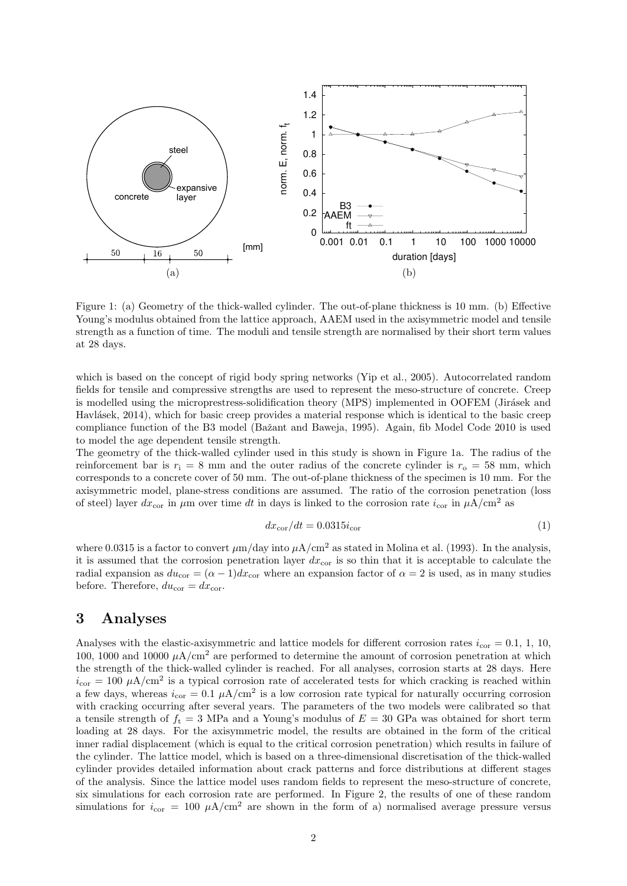

Figure 1: (a) Geometry of the thick-walled cylinder. The out-of-plane thickness is 10 mm. (b) Effective Young's modulus obtained from the lattice approach, AAEM used in the axisymmetric model and tensile strength as a function of time. The moduli and tensile strength are normalised by their short term values at 28 days.

which is based on the concept of rigid body spring networks (Yip et al., 2005). Autocorrelated random fields for tensile and compressive strengths are used to represent the meso-structure of concrete. Creep is modelled using the microprestress-solidification theory (MPS) implemented in OOFEM (Jirásek and Havlásek, 2014), which for basic creep provides a material response which is identical to the basic creep compliance function of the B3 model (Bažant and Baweja, 1995). Again, fib Model Code 2010 is used to model the age dependent tensile strength.

The geometry of the thick-walled cylinder used in this study is shown in Figure 1a. The radius of the reinforcement bar is  $r_i = 8$  mm and the outer radius of the concrete cylinder is  $r_o = 58$  mm, which corresponds to a concrete cover of 50 mm. The out-of-plane thickness of the specimen is 10 mm. For the axisymmetric model, plane-stress conditions are assumed. The ratio of the corrosion penetration (loss of steel) layer  $dx_{\text{cor}}$  in  $\mu$ m over time dt in days is linked to the corrosion rate  $i_{\text{cor}}$  in  $\mu$ A/cm<sup>2</sup> as

$$
dx_{\rm cor}/dt = 0.0315i_{\rm cor} \tag{1}
$$

where 0.0315 is a factor to convert  $\mu$ m/day into  $\mu$ A/cm<sup>2</sup> as stated in Molina et al. (1993). In the analysis, it is assumed that the corrosion penetration layer  $dx_{cor}$  is so thin that it is acceptable to calculate the radial expansion as  $du_{\text{cor}} = (\alpha - 1)dx_{\text{cor}}$  where an expansion factor of  $\alpha = 2$  is used, as in many studies before. Therefore,  $du_{\text{cor}} = dx_{\text{cor}}$ .

### 3 Analyses

Analyses with the elastic-axisymmetric and lattice models for different corrosion rates  $i_{cor} = 0.1, 1, 10$ , 100, 1000 and 10000  $\mu$ A/cm<sup>2</sup> are performed to determine the amount of corrosion penetration at which the strength of the thick-walled cylinder is reached. For all analyses, corrosion starts at 28 days. Here  $i_{\text{cor}} = 100 \mu\text{A/cm}^2$  is a typical corrosion rate of accelerated tests for which cracking is reached within a few days, whereas  $i_{cor} = 0.1 \mu A/cm^2$  is a low corrosion rate typical for naturally occurring corrosion with cracking occurring after several years. The parameters of the two models were calibrated so that a tensile strength of  $f_t = 3$  MPa and a Young's modulus of  $E = 30$  GPa was obtained for short term loading at 28 days. For the axisymmetric model, the results are obtained in the form of the critical inner radial displacement (which is equal to the critical corrosion penetration) which results in failure of the cylinder. The lattice model, which is based on a three-dimensional discretisation of the thick-walled cylinder provides detailed information about crack patterns and force distributions at different stages of the analysis. Since the lattice model uses random fields to represent the meso-structure of concrete, six simulations for each corrosion rate are performed. In Figure 2, the results of one of these random simulations for  $i_{\rm cor} = 100 \mu A/cm^2$  are shown in the form of a) normalised average pressure versus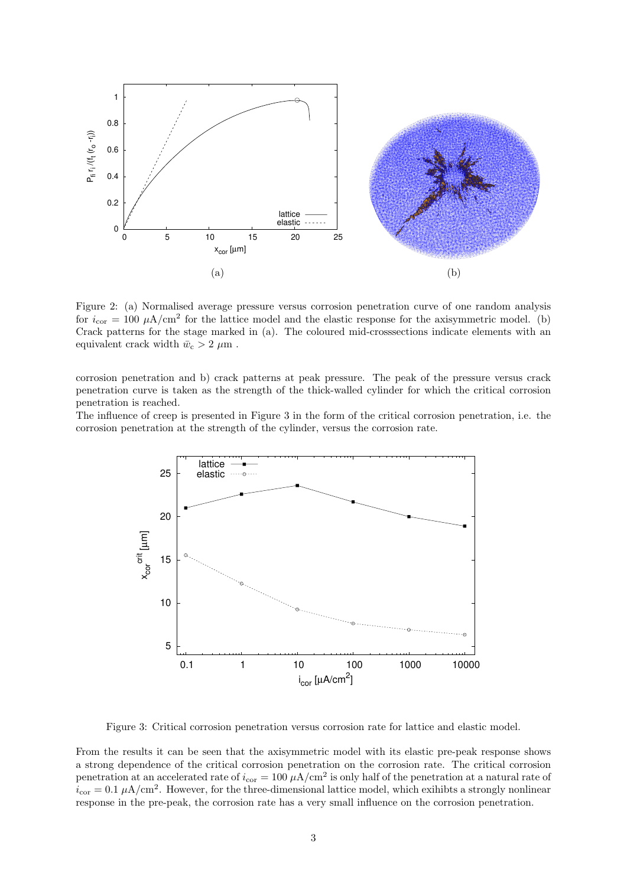

Figure 2: (a) Normalised average pressure versus corrosion penetration curve of one random analysis for  $i_{\rm cor} = 100 \mu A/cm^2$  for the lattice model and the elastic response for the axisymmetric model. (b) Crack patterns for the stage marked in (a). The coloured mid-crosssections indicate elements with an equivalent crack width  $\bar{w}_c > 2 \mu m$ .

corrosion penetration and b) crack patterns at peak pressure. The peak of the pressure versus crack penetration curve is taken as the strength of the thick-walled cylinder for which the critical corrosion penetration is reached.

The influence of creep is presented in Figure 3 in the form of the critical corrosion penetration, i.e. the corrosion penetration at the strength of the cylinder, versus the corrosion rate.



Figure 3: Critical corrosion penetration versus corrosion rate for lattice and elastic model.

From the results it can be seen that the axisymmetric model with its elastic pre-peak response shows a strong dependence of the critical corrosion penetration on the corrosion rate. The critical corrosion penetration at an accelerated rate of  $i_{\text{cor}} = 100 \ \mu\text{A}/\text{cm}^2$  is only half of the penetration at a natural rate of  $i_{\text{cor}} = 0.1 \ \mu\text{A}/\text{cm}^2$ . However, for the three-dimensional lattice model, which exihibts a strongly nonlinear response in the pre-peak, the corrosion rate has a very small influence on the corrosion penetration.